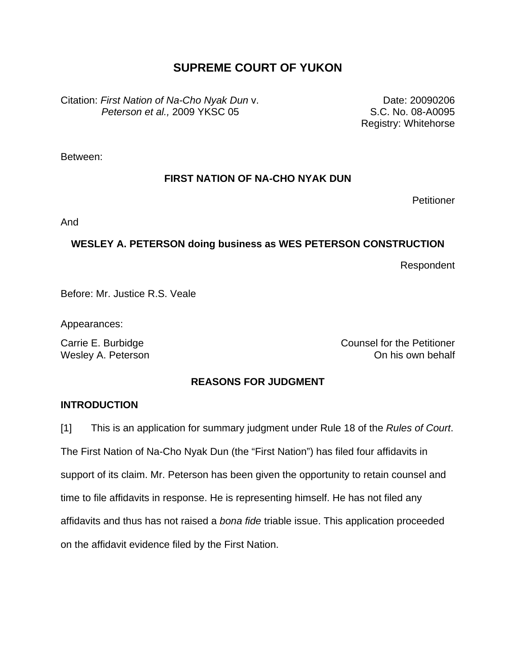# **SUPREME COURT OF YUKON**

Citation: *First Nation of Na-Cho Nyak Dun* v. *Peterson et al.,* 2009 YKSC 05

Date: 20090206 S.C. No. 08-A0095 Registry: Whitehorse

Between:

## **FIRST NATION OF NA-CHO NYAK DUN**

**Petitioner** 

And

## **WESLEY A. PETERSON doing business as WES PETERSON CONSTRUCTION**

Respondent

Before: Mr. Justice R.S. Veale

Appearances:

Carrie E. Burbidge Carrie E. Burbidge Wesley A. Peterson **Contract Contract Contract Contract Contract Contract Contract Contract Contract Contract Contract Contract Contract Contract Contract Contract Contract Contract Contract Contract Contract Contract Cont** 

## **REASONS FOR JUDGMENT**

### **INTRODUCTION**

[1] This is an application for summary judgment under Rule 18 of the *Rules of Court*. The First Nation of Na-Cho Nyak Dun (the "First Nation") has filed four affidavits in support of its claim. Mr. Peterson has been given the opportunity to retain counsel and time to file affidavits in response. He is representing himself. He has not filed any affidavits and thus has not raised a *bona fide* triable issue. This application proceeded on the affidavit evidence filed by the First Nation.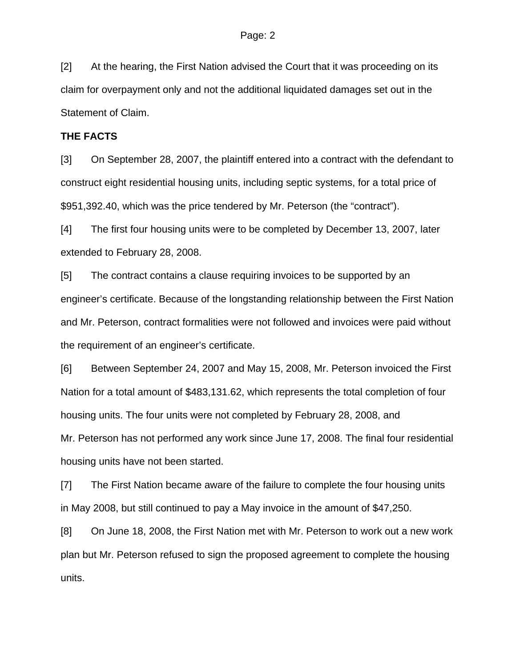[2] At the hearing, the First Nation advised the Court that it was proceeding on its claim for overpayment only and not the additional liquidated damages set out in the Statement of Claim.

### **THE FACTS**

[3] On September 28, 2007, the plaintiff entered into a contract with the defendant to construct eight residential housing units, including septic systems, for a total price of \$951,392.40, which was the price tendered by Mr. Peterson (the "contract").

[4] The first four housing units were to be completed by December 13, 2007, later extended to February 28, 2008.

[5] The contract contains a clause requiring invoices to be supported by an engineer's certificate. Because of the longstanding relationship between the First Nation and Mr. Peterson, contract formalities were not followed and invoices were paid without the requirement of an engineer's certificate.

[6] Between September 24, 2007 and May 15, 2008, Mr. Peterson invoiced the First Nation for a total amount of \$483,131.62, which represents the total completion of four housing units. The four units were not completed by February 28, 2008, and Mr. Peterson has not performed any work since June 17, 2008. The final four residential housing units have not been started.

[7] The First Nation became aware of the failure to complete the four housing units in May 2008, but still continued to pay a May invoice in the amount of \$47,250.

[8] On June 18, 2008, the First Nation met with Mr. Peterson to work out a new work plan but Mr. Peterson refused to sign the proposed agreement to complete the housing units.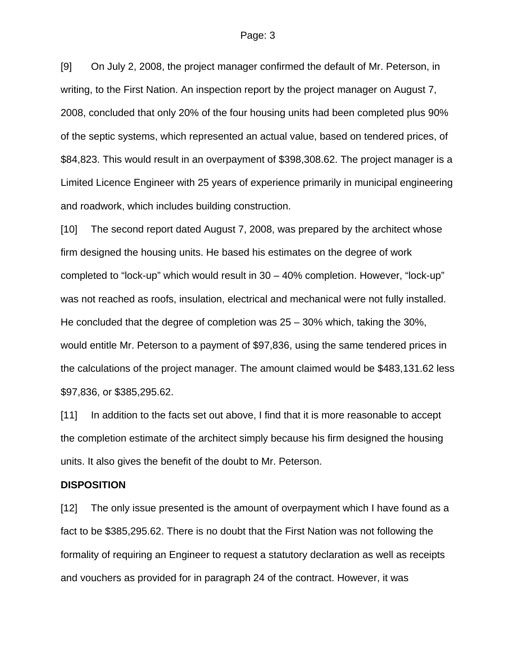[9] On July 2, 2008, the project manager confirmed the default of Mr. Peterson, in writing, to the First Nation. An inspection report by the project manager on August 7, 2008, concluded that only 20% of the four housing units had been completed plus 90% of the septic systems, which represented an actual value, based on tendered prices, of \$84,823. This would result in an overpayment of \$398,308.62. The project manager is a Limited Licence Engineer with 25 years of experience primarily in municipal engineering and roadwork, which includes building construction.

[10] The second report dated August 7, 2008, was prepared by the architect whose firm designed the housing units. He based his estimates on the degree of work completed to "lock-up" which would result in 30 – 40% completion. However, "lock-up" was not reached as roofs, insulation, electrical and mechanical were not fully installed. He concluded that the degree of completion was 25 – 30% which, taking the 30%, would entitle Mr. Peterson to a payment of \$97,836, using the same tendered prices in the calculations of the project manager. The amount claimed would be \$483,131.62 less \$97,836, or \$385,295.62.

[11] In addition to the facts set out above, I find that it is more reasonable to accept the completion estimate of the architect simply because his firm designed the housing units. It also gives the benefit of the doubt to Mr. Peterson.

#### **DISPOSITION**

[12] The only issue presented is the amount of overpayment which I have found as a fact to be \$385,295.62. There is no doubt that the First Nation was not following the formality of requiring an Engineer to request a statutory declaration as well as receipts and vouchers as provided for in paragraph 24 of the contract. However, it was